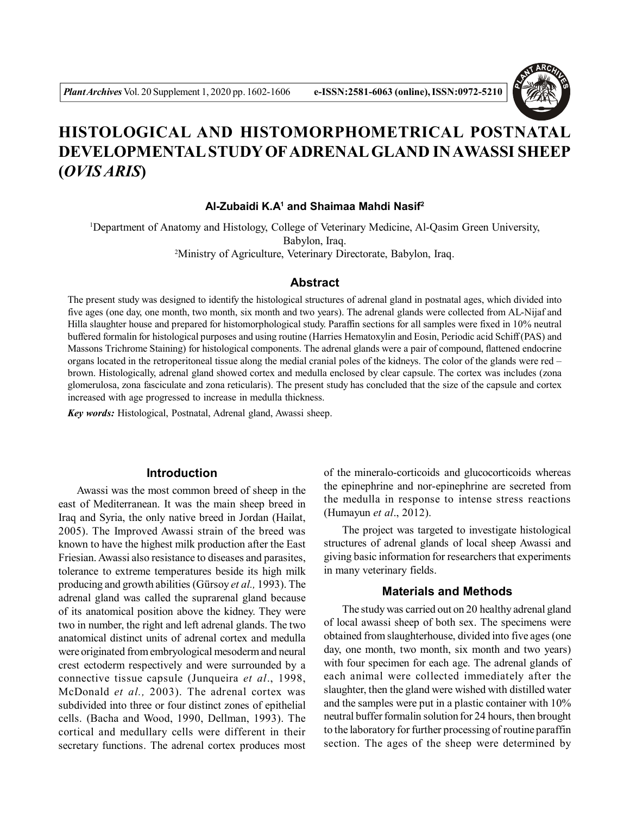# **HISTOLOGICAL AND HISTOMORPHOMETRICAL POSTNATAL DEVELOPMENTAL STUDY OFADRENAL GLAND IN AWASSI SHEEP (***OVIS ARIS***)**

### **Al-Zubaidi K.A<sup>1</sup> and Shaimaa Mahdi Nasif<sup>2</sup>**

<sup>1</sup>Department of Anatomy and Histology, College of Veterinary Medicine, Al-Qasim Green University, Babylon, Iraq. <sup>2</sup>Ministry of Agriculture, Veterinary Directorate, Babylon, Iraq.

# **Abstract**

The present study was designed to identify the histological structures of adrenal gland in postnatal ages, which divided into five ages (one day, one month, two month, six month and two years). The adrenal glands were collected from AL-Nijaf and Hilla slaughter house and prepared for histomorphological study. Paraffin sections for all samples were fixed in 10% neutral buffered formalin for histological purposes and using routine (Harries Hematoxylin and Eosin, Periodic acid Schiff (PAS) and Massons Trichrome Staining) for histological components. The adrenal glands were a pair of compound, flattened endocrine organs located in the retroperitoneal tissue along the medial cranial poles of the kidneys. The color of the glands were red – brown. Histologically, adrenal gland showed cortex and medulla enclosed by clear capsule. The cortex was includes (zona glomerulosa, zona fasciculate and zona reticularis). The present study has concluded that the size of the capsule and cortex increased with age progressed to increase in medulla thickness.

*Key words:* Histological, Postnatal, Adrenal gland, Awassi sheep.

# **Introduction**

Awassi was the most common breed of sheep in the east of Mediterranean. It was the main sheep breed in Iraq and Syria, the only native breed in Jordan (Hailat, 2005). The Improved Awassi strain of the breed was known to have the highest milk production after the East Friesian. Awassi also resistance to diseases and parasites, tolerance to extreme temperatures beside its high milk producing and growth abilities (Gürsoy *et al.,* 1993). The adrenal gland was called the suprarenal gland because of its anatomical position above the kidney. They were two in number, the right and left adrenal glands. The two anatomical distinct units of adrenal cortex and medulla were originated from embryological mesoderm and neural crest ectoderm respectively and were surrounded by a connective tissue capsule (Junqueira *et al*., 1998, McDonald *et al.,* 2003). The adrenal cortex was subdivided into three or four distinct zones of epithelial cells. (Bacha and Wood, 1990, Dellman, 1993). The cortical and medullary cells were different in their secretary functions. The adrenal cortex produces most

of the mineralo-corticoids and glucocorticoids whereas the epinephrine and nor-epinephrine are secreted from the medulla in response to intense stress reactions (Humayun *et al*., 2012).

The project was targeted to investigate histological structures of adrenal glands of local sheep Awassi and giving basic information for researchers that experiments in many veterinary fields.

## **Materials and Methods**

The study was carried out on 20 healthy adrenal gland of local awassi sheep of both sex. The specimens were obtained from slaughterhouse, divided into five ages (one day, one month, two month, six month and two years) with four specimen for each age. The adrenal glands of each animal were collected immediately after the slaughter, then the gland were wished with distilled water and the samples were put in a plastic container with 10% neutral buffer formalin solution for 24 hours, then brought to the laboratory for further processing of routine paraffin section. The ages of the sheep were determined by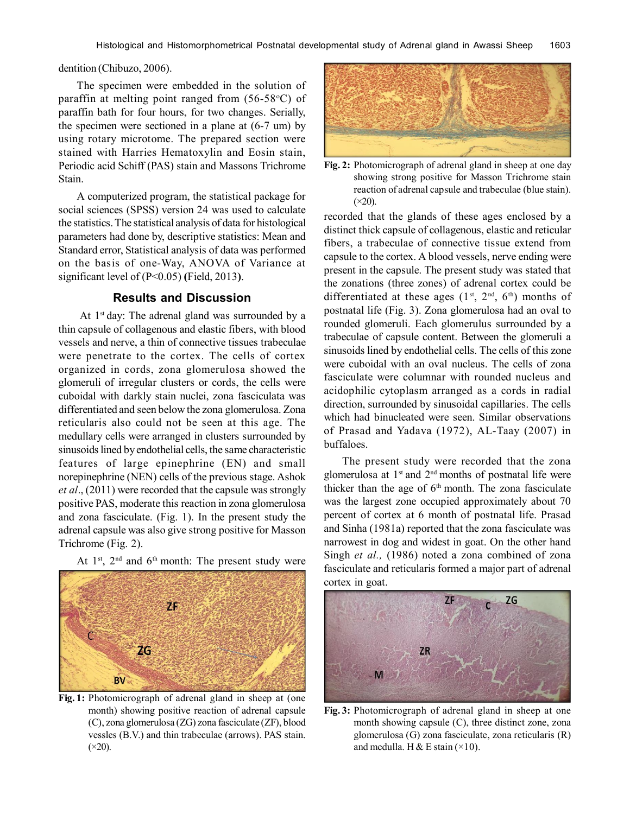dentition (Chibuzo, 2006).

The specimen were embedded in the solution of paraffin at melting point ranged from  $(56-58)$ °C) of paraffin bath for four hours, for two changes. Serially, the specimen were sectioned in a plane at (6-7 um) by using rotary microtome. The prepared section were stained with Harries Hematoxylin and Eosin stain, Periodic acid Schiff (PAS) stain and Massons Trichrome Stain.

A computerized program, the statistical package for social sciences (SPSS) version 24 was used to calculate the statistics. The statistical analysis of data for histological parameters had done by, descriptive statistics: Mean and Standard error, Statistical analysis of data was performed on the basis of one-Way, ANOVA of Variance at significant level of (P<0.05) **(**Field, 2013**)**.

#### **Results and Discussion**

At  $1<sup>st</sup>$  day: The adrenal gland was surrounded by a thin capsule of collagenous and elastic fibers, with blood vessels and nerve, a thin of connective tissues trabeculae were penetrate to the cortex. The cells of cortex organized in cords, zona glomerulosa showed the glomeruli of irregular clusters or cords, the cells were cuboidal with darkly stain nuclei, zona fasciculata was differentiated and seen below the zona glomerulosa. Zona reticularis also could not be seen at this age. The medullary cells were arranged in clusters surrounded by sinusoids lined by endothelial cells, the same characteristic features of large epinephrine (EN) and small norepinephrine (NEN) cells of the previous stage. Ashok *et al*., (2011) were recorded that the capsule was strongly positive PAS, moderate this reaction in zona glomerulosa and zona fasciculate. (Fig. 1). In the present study the adrenal capsule was also give strong positive for Masson Trichrome (Fig. 2).





**Fig. 1:** Photomicrograph of adrenal gland in sheep at (one month) showing positive reaction of adrenal capsule (C), zona glomerulosa (ZG) zona fasciculate (ZF), blood vessles (B.V.) and thin trabeculae (arrows). PAS stain.  $(\times 20)$ .



**Fig. 2:** Photomicrograph of adrenal gland in sheep at one day showing strong positive for Masson Trichrome stain reaction of adrenal capsule and trabeculae (blue stain).  $(\times 20)$ .

recorded that the glands of these ages enclosed by a distinct thick capsule of collagenous, elastic and reticular fibers, a trabeculae of connective tissue extend from capsule to the cortex. A blood vessels, nerve ending were present in the capsule. The present study was stated that the zonations (three zones) of adrenal cortex could be differentiated at these ages  $(1^{st}, 2^{nd}, 6^{th})$  months of postnatal life (Fig. 3). Zona glomerulosa had an oval to rounded glomeruli. Each glomerulus surrounded by a trabeculae of capsule content. Between the glomeruli a sinusoids lined by endothelial cells. The cells of this zone were cuboidal with an oval nucleus. The cells of zona fasciculate were columnar with rounded nucleus and acidophilic cytoplasm arranged as a cords in radial direction, surrounded by sinusoidal capillaries. The cells which had binucleated were seen. Similar observations of Prasad and Yadava (1972), AL-Taay (2007) in buffaloes.

The present study were recorded that the zona glomerulosa at  $1<sup>st</sup>$  and  $2<sup>nd</sup>$  months of postnatal life were thicker than the age of  $6<sup>th</sup>$  month. The zona fasciculate was the largest zone occupied approximately about 70 percent of cortex at 6 month of postnatal life. Prasad and Sinha (1981a) reported that the zona fasciculate was narrowest in dog and widest in goat. On the other hand Singh *et al.,* (1986) noted a zona combined of zona fasciculate and reticularis formed a major part of adrenal cortex in goat.



**Fig. 3:** Photomicrograph of adrenal gland in sheep at one month showing capsule (C), three distinct zone, zona glomerulosa (G) zona fasciculate, zona reticularis (R) and medulla. H & E stain  $(\times 10)$ .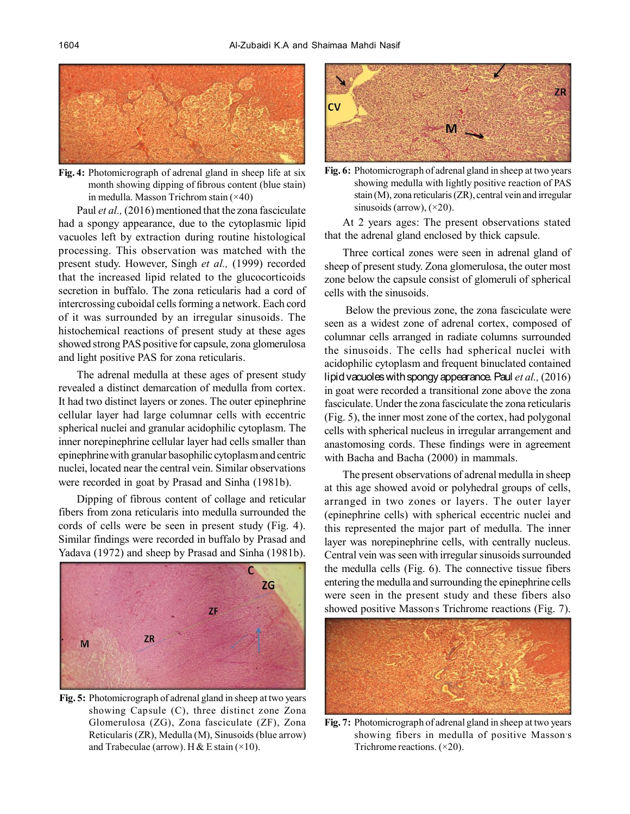

**Fig. 4:** Photomicrograph of adrenal gland in sheep life at six month showing dipping of fibrous content (blue stain) in medulla. Masson Trichrom stain (×40)

Paul *et al.*, (2016) mentioned that the zona fasciculate had a spongy appearance, due to the cytoplasmic lipid vacuoles left by extraction during routine histological processing. This observation was matched with the present study. However, Singh *et al.,* (1999) recorded that the increased lipid related to the glucocorticoids secretion in buffalo. The zona reticularis had a cord of intercrossing cuboidal cells forming a network. Each cord of it was surrounded by an irregular sinusoids. The histochemical reactions of present study at these ages showed strong PAS positive for capsule, zona glomerulosa and light positive PAS for zona reticularis.

The adrenal medulla at these ages of present study revealed a distinct demarcation of medulla from cortex. It had two distinct layers or zones. The outer epinephrine cellular layer had large columnar cells with eccentric spherical nuclei and granular acidophilic cytoplasm. The inner norepinephrine cellular layer had cells smaller than epinephrine with granular basophilic cytoplasm and centric nuclei, located near the central vein. Similar observations were recorded in goat by Prasad and Sinha (1981b).

Dipping of fibrous content of collage and reticular fibers from zona reticularis into medulla surrounded the cords of cells were be seen in present study (Fig. 4). Similar findings were recorded in buffalo by Prasad and Yadava (1972) and sheep by Prasad and Sinha (1981b).



**Fig. 5:** Photomicrograph of adrenal gland in sheep at two years showing Capsule (C), three distinct zone Zona Glomerulosa (ZG), Zona fasciculate (ZF), Zona Reticularis (ZR), Medulla (M), Sinusoids (blue arrow) and Trabeculae (arrow). H & E stain  $(\times 10)$ .



**Fig. 6:** Photomicrograph of adrenal gland in sheep at two years showing medulla with lightly positive reaction of PAS stain (M), zona reticularis (ZR), central vein and irregular sinusoids (arrow),  $(\times 20)$ .

At 2 years ages: The present observations stated that the adrenal gland enclosed by thick capsule.

Three cortical zones were seen in adrenal gland of sheep of present study. Zona glomerulosa, the outer most zone below the capsule consist of glomeruli of spherical cells with the sinusoids.

 Below the previous zone, the zona fasciculate were seen as a widest zone of adrenal cortex, composed of columnar cells arranged in radiate columns surrounded the sinusoids. The cells had spherical nuclei with acidophilic cytoplasm and frequent binuclated contained lipid vacuoles with spongy appearance. Paul *et al.,* (2016) in goat were recorded a transitional zone above the zona fasciculate. Under the zona fasciculate the zona reticularis (Fig. 5), the inner most zone of the cortex, had polygonal cells with spherical nucleus in irregular arrangement and anastomosing cords. These findings were in agreement with Bacha and Bacha (2000) in mammals.

The present observations of adrenal medulla in sheep at this age showed avoid or polyhedral groups of cells, arranged in two zones or layers. The outer layer (epinephrine cells) with spherical eccentric nuclei and this represented the major part of medulla. The inner layer was norepinephrine cells, with centrally nucleus. Central vein was seen with irregular sinusoids surrounded the medulla cells (Fig. 6). The connective tissue fibers entering the medulla and surrounding the epinephrine cells were seen in the present study and these fibers also showed positive Masson's Trichrome reactions (Fig. 7).



**Fig. 7:** Photomicrograph of adrenal gland in sheep at two years showing fibers in medulla of positive Masson's Trichrome reactions.  $(\times 20)$ .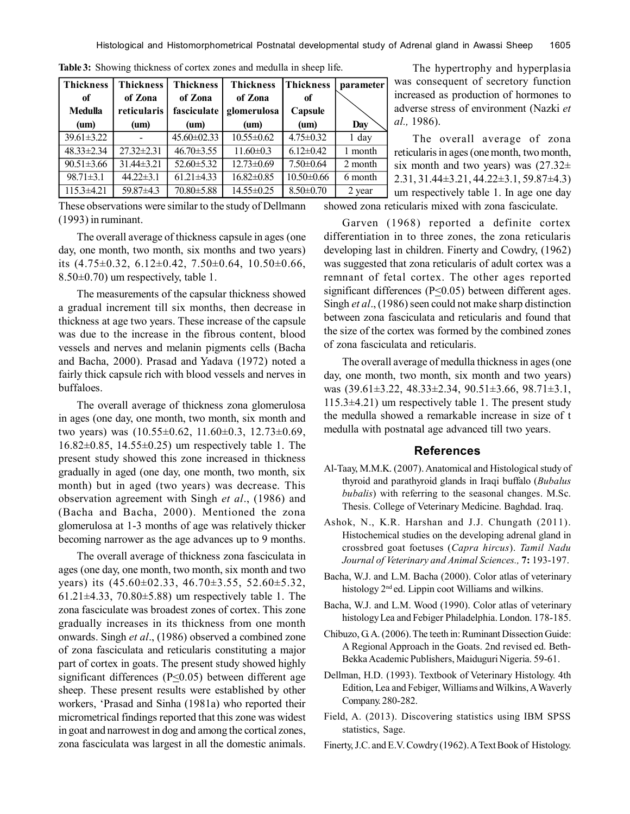| <b>Thickness</b> | <b>Thickness</b>         | <b>Thickness</b>  | <b>Thickness</b>         | <b>Thickness</b> | parameter |
|------------------|--------------------------|-------------------|--------------------------|------------------|-----------|
| of               | of Zona                  | of Zona           | of Zona                  | of               |           |
| <b>Medulla</b>   | reticularis              | fasciculate       | glomerulosa              | Capsule          |           |
| $(u_m)$          | $(\mathbf{u}\mathbf{m})$ | (um)              | (um)                     | (nm)             | Day       |
| $39.61 \pm 3.22$ |                          | $45.60 \pm 02.33$ | $\overline{10.55}$ ±0.62 | $4.75 \pm 0.32$  | $1$ day   |
| $48.33 \pm 2.34$ | $27.32 \pm 2.31$         | $46.70 \pm 3.55$  | $11.60 \pm 0.3$          | $6.12 \pm 0.42$  | 1 month   |
| $90.51 \pm 3.66$ | $31.44\pm3.21$           | $52.60 \pm 5.32$  | $12.73 \pm 0.69$         | $7.50\pm0.64$    | 2 month   |
| $98.71 \pm 3.1$  | $44.22 \pm 3.1$          | $61.21 \pm 4.33$  | $16.82 \pm 0.85$         | $10.50 \pm 0.66$ | 6 month   |
| $115.3 \pm 4.21$ | $59.87 \pm 4.3$          | $70.80 \pm 5.88$  | 14.55±0.25               | $8.50 \pm 0.70$  | 2 year    |

**Table 3:** Showing thickness of cortex zones and medulla in sheep life.

These observations were similar to the study of Dellmann (1993) in ruminant.

The overall average of thickness capsule in ages (one day, one month, two month, six months and two years) its  $(4.75\pm0.32, 6.12\pm0.42, 7.50\pm0.64, 10.50\pm0.66,$ 8.50±0.70) um respectively, table 1.

The measurements of the capsular thickness showed a gradual increment till six months, then decrease in thickness at age two years. These increase of the capsule was due to the increase in the fibrous content, blood vessels and nerves and melanin pigments cells (Bacha and Bacha, 2000). Prasad and Yadava (1972) noted a fairly thick capsule rich with blood vessels and nerves in buffaloes.

The overall average of thickness zona glomerulosa in ages (one day, one month, two month, six month and two years) was (10.55±0.62, 11.60±0.3, 12.73±0.69, 16.82±0.85, 14.55±0.25) um respectively table 1. The present study showed this zone increased in thickness gradually in aged (one day, one month, two month, six month) but in aged (two years) was decrease. This observation agreement with Singh *et al*., (1986) and (Bacha and Bacha, 2000). Mentioned the zona glomerulosa at 1-3 months of age was relatively thicker becoming narrower as the age advances up to 9 months.

The overall average of thickness zona fasciculata in ages (one day, one month, two month, six month and two years) its (45.60±02.33, 46.70±3.55, 52.60±5.32, 61.21 $\pm$ 4.33, 70.80 $\pm$ 5.88) um respectively table 1. The zona fasciculate was broadest zones of cortex. This zone gradually increases in its thickness from one month onwards. Singh *et al*., (1986) observed a combined zone of zona fasciculata and reticularis constituting a major part of cortex in goats. The present study showed highly significant differences ( $P \le 0.05$ ) between different age sheep. These present results were established by other workers, 'Prasad and Sinha (1981a) who reported their micrometrical findings reported that this zone was widest in goat and narrowest in dog and among the cortical zones, zona fasciculata was largest in all the domestic animals.

The hypertrophy and hyperplasia was consequent of secretory function increased as production of hormones to adverse stress of environment (Nazki *et al.,* 1986).

The overall average of zona reticularis in ages (one month, two month, six month and two years) was  $(27.32 \pm$ 2.31, 31.44±3.21, 44.22±3.1, 59.87±4.3) um respectively table 1. In age one day

showed zona reticularis mixed with zona fasciculate.

Garven (1968) reported a definite cortex differentiation in to three zones, the zona reticularis developing last in children. Finerty and Cowdry, (1962) was suggested that zona reticularis of adult cortex was a remnant of fetal cortex. The other ages reported significant differences ( $P \le 0.05$ ) between different ages. Singh *et al*., (1986) seen could not make sharp distinction between zona fasciculata and reticularis and found that the size of the cortex was formed by the combined zones of zona fasciculata and reticularis.

The overall average of medulla thickness in ages (one day, one month, two month, six month and two years) was (39.61±3.22, 48.33±2.34, 90.51±3.66, 98.71±3.1, 115.3±4.21) um respectively table 1. The present study the medulla showed a remarkable increase in size of t medulla with postnatal age advanced till two years.

#### **References**

- Al-Taay, M.M.K. (2007). Anatomical and Histological study of thyroid and parathyroid glands in Iraqi buffalo (*Bubalus bubalis*) with referring to the seasonal changes. M.Sc. Thesis. College of Veterinary Medicine. Baghdad. Iraq.
- Ashok, N., K.R. Harshan and J.J. Chungath (2011). Histochemical studies on the developing adrenal gland in crossbred goat foetuses (*Capra hircus*). *Tamil Nadu Journal of Veterinary and Animal Sciences.,* **7:** 193-197.
- Bacha, W.J. and L.M. Bacha (2000). Color atlas of veterinary histology 2nd ed. Lippin coot Williams and wilkins.
- Bacha, W.J. and L.M. Wood (1990). Color atlas of veterinary histology Lea and Febiger Philadelphia. London. 178-185.
- Chibuzo, G. A. (2006). The teeth in: Ruminant Dissection Guide: A Regional Approach in the Goats. 2nd revised ed. Beth-Bekka Academic Publishers, Maiduguri Nigeria. 59-61.
- Dellman, H.D. (1993). Textbook of Veterinary Histology. 4th Edition, Lea and Febiger, Williams and Wilkins, A Waverly Company. 280-282.
- Field, A. (2013). Discovering statistics using IBM SPSS statistics, Sage.
- Finerty, J.C. and E.V. Cowdry (1962). A Text Book of Histology.